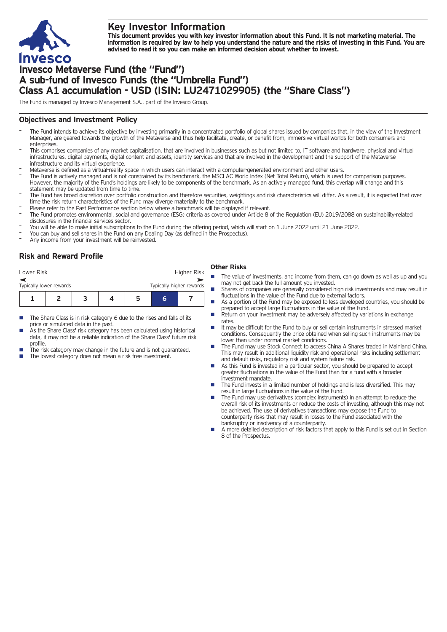

# **Key Investor Information**

This document provides you with key investor information about this Fund. It is not marketing material. The information is required by law to help you understand the nature and the risks of investing in this Fund. You are **advised to read it so you can make an informed decision about whether to invest.**

# **Invesco Metaverse Fund (the "Fund") A sub-fund of Invesco Funds (the "Umbrella Fund") Class A1 accumulation - USD (ISIN: LU2471029905) (the "Share Class")**

The Fund is managed by Invesco Management S.A., part of the Invesco Group.

## **Objectives and Investment Policy**

- The Fund intends to achieve its objective by investing primarily in a concentrated portfolio of global shares issued by companies that, in the view of the Investment Manager, are geared towards the growth of the Metaverse and thus help facilitate, create, or benefit from, immersive virtual worlds for both consumers and enterprises
- This comprises companies of any market capitalisation, that are involved in businesses such as but not limited to, IT software and hardware, physical and virtual infrastructures, digital payments, digital content and assets, identity services and that are involved in the development and the support of the Metaverse infrastructure and its virtual experience.
- Metaverse is defined as <sup>a</sup> virtual-reality space in which users can interact with <sup>a</sup> computer-generated environment and other users.
- The Fund is actively managed and is not constrained by its benchmark, the MSCI AC World Index (Net Total Return), which is used for comparison purposes. However, the majority of the Fund's holdings are likely to be components of the benchmark. As an actively managed fund, this overlap will change and this statement may be updated from time to time.
- The Fund has broad discretion over portfolio construction and therefore securities, weightings and risk characteristics will differ. As a result, it is expected that over time the risk return characteristics of the Fund may diverge materially to the benchmark.
- Please refer to the Past Performance section below where a benchmark will be displayed if relevant.
- The Fund promotes environmental, social and governance (ESG) criteria as covered under Article 8 of the Regulation (EU) 2019/2088 on sustainability-related disclosures in the financial services sector.
- You will be able to make initial subscriptions to the Fund during the offering period, which will start on <sup>1</sup> June <sup>2022</sup> until <sup>21</sup> June 2022.
- You can buy and sell shares in the Fund on any Dealing Day (as defined in the Prospectus).
- Any income from your investment will be reinvested.

## **Risk and Reward Profile**

| Lower Risk                                          |  |  |  |   | Higher Risk |  |  |
|-----------------------------------------------------|--|--|--|---|-------------|--|--|
| Typically higher rewards<br>Typically lower rewards |  |  |  |   |             |  |  |
|                                                     |  |  |  | h | h           |  |  |

- The Share Class is in risk category 6 due to the rises and falls of its price or simulated data in the past.
- As the Share Class' risk category has been calculated using historical data, it may not be a reliable indication of the Share Class' future risk profile.
- The risk category may change in the future and is not guaranteed.
- The lowest category does not mean a risk free investment.

#### **Other Risks**

- The value of investments, and income from them, can go down as well as up and you may not get back the full amount you invested.
- Shares of companies are generally considered high risk investments and may result in fluctuations in the value of the Fund due to external factors.
- As a portion of the Fund may be exposed to less developed countries, you should be prepared to accept large fluctuations in the value of the Fund.
- Return on your investment may be adversely affected by variations in exchange rates
- It may be difficult for the Fund to buy or sell certain instruments in stressed market conditions. Consequently the price obtained when selling such instruments may be lower than under normal market conditions.
- The Fund may use Stock Connect to access China A Shares traded in Mainland China. This may result in additional liquidity risk and operational risks including settlement and default risks, regulatory risk and system failure risk.
- As this Fund is invested in a particular sector, you should be prepared to accept greater fluctuations in the value of the Fund than for a fund with a broader investment mandate.
- The Fund invests in a limited number of holdings and is less diversified. This may result in large fluctuations in the value of the Fund.
- $\blacksquare$  The Fund may use derivatives (complex instruments) in an attempt to reduce the overall risk of its investments or reduce the costs of investing, although this may not be achieved. The use of derivatives transactions may expose the Fund to counterparty risks that may result in losses to the Fund associated with the bankruptcy or insolvency of a counterparty.
- n A more detailed description of risk factors that apply to this Fund is set out in Section 8 of the Prospectus.